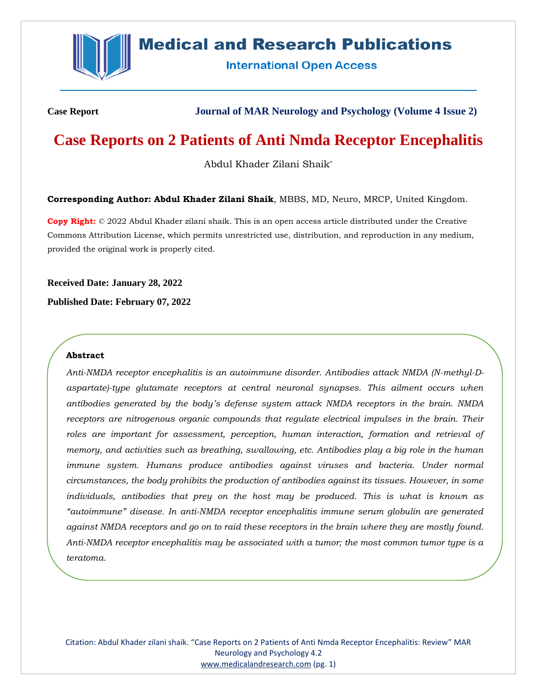

# **Medical and Research Publications**

**International Open Access** 

**Case Report Journal of MAR Neurology and Psychology (Volume 4 Issue 2)**

# **Case Reports on 2 Patients of Anti Nmda Receptor Encephalitis**

Abdul Khader Zilani Shaik\*

**Corresponding Author: Abdul Khader Zilani Shaik**, MBBS, MD, Neuro, MRCP, United Kingdom.

**Copy Right:** © 2022 Abdul Khader zilani shaik. This is an open access article distributed under the Creative Commons Attribution License, which permits unrestricted use, distribution, and reproduction in any medium, provided the original work is properly cited.

**Received Date: January 28, 2022**

**Published Date: February 07, 2022**

# **Abstract**

*Anti-NMDA receptor encephalitis is an autoimmune disorder. Antibodies attack NMDA (N-methyl-Daspartate)-type glutamate receptors at central neuronal synapses. This ailment occurs when antibodies generated by the body's defense system attack NMDA receptors in the brain. NMDA receptors are nitrogenous organic compounds that regulate electrical impulses in the brain. Their roles are important for assessment, perception, human interaction, formation and retrieval of memory, and activities such as breathing, swallowing, etc. Antibodies play a big role in the human immune system. Humans produce antibodies against viruses and bacteria. Under normal circumstances, the body prohibits the production of antibodies against its tissues. However, in some individuals, antibodies that prey on the host may be produced. This is what is known as "autoimmune" disease. In anti-NMDA receptor encephalitis immune serum globulin are generated against NMDA receptors and go on to raid these receptors in the brain where they are mostly found. Anti-NMDA receptor encephalitis may be associated with a tumor; the most common tumor type is a teratoma.*

Citation: Abdul Khader zilani shaik. "Case Reports on 2 Patients of Anti Nmda Receptor Encephalitis: Review" MAR Neurology and Psychology 4.2 [www.medicalandresearch.com](http://www.medicalandresearch.com/) (pg. 1)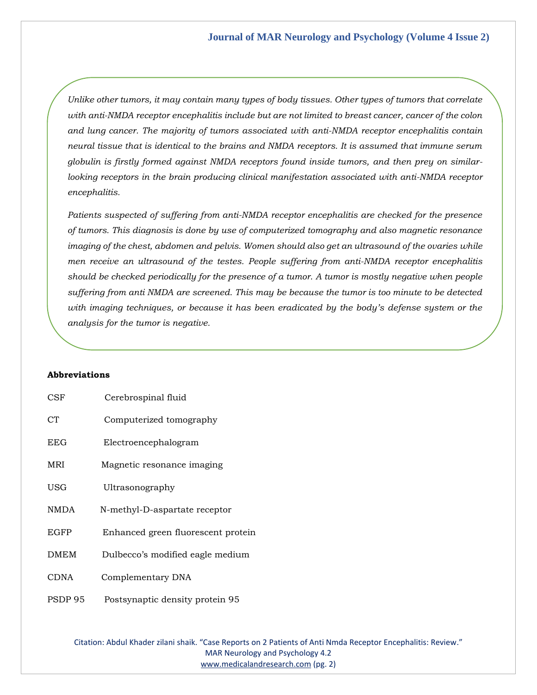*Unlike other tumors, it may contain many types of body tissues. Other types of tumors that correlate with anti-NMDA receptor encephalitis include but are not limited to breast cancer, cancer of the colon and lung cancer. The majority of tumors associated with anti-NMDA receptor encephalitis contain neural tissue that is identical to the brains and NMDA receptors. It is assumed that immune serum globulin is firstly formed against NMDA receptors found inside tumors, and then prey on similar*looking receptors in the brain producing clinical manifestation associated with anti-NMDA receptor *encephalitis.*

*Patients suspected of suffering from anti-NMDA receptor encephalitis are checked for the presence of tumors. This diagnosis is done by use of computerized tomography and also magnetic resonance imaging of the chest, abdomen and pelvis. Women should also get an ultrasound of the ovaries while men receive an ultrasound of the testes. People suffering from anti-NMDA receptor encephalitis should be checked periodically for the presence of a tumor. A tumor is mostly negative when people suffering from anti NMDA are screened. This may be because the tumor is too minute to be detected with imaging techniques, or because it has been eradicated by the body's defense system or the analysis for the tumor is negative.*

# **Abbreviations**

| <b>CSF</b>     | Cerebrospinal fluid                |
|----------------|------------------------------------|
| C <sub>T</sub> | Computerized tomography            |
| <b>EEG</b>     | Electroencephalogram               |
| MRI            | Magnetic resonance imaging         |
| USG            | Ultrasonography                    |
| NMDA           | N-methyl-D-aspartate receptor      |
| <b>EGFP</b>    | Enhanced green fluorescent protein |
| <b>DMEM</b>    | Dulbecco's modified eagle medium   |
| <b>CDNA</b>    | Complementary DNA                  |
| PSDP 95        | Postsynaptic density protein 95    |

Citation: Abdul Khader zilani shaik. "Case Reports on 2 Patients of Anti Nmda Receptor Encephalitis: Review." MAR Neurology and Psychology 4.2 [www.medicalandresearch.com](http://www.medicalandresearch.com/) (pg. 2)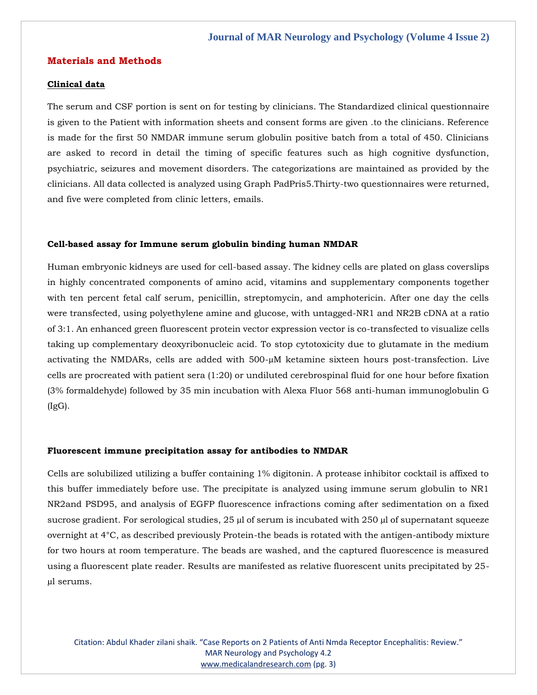## **Materials and Methods**

# **Clinical data**

The serum and CSF portion is sent on for testing by clinicians. The Standardized clinical questionnaire is given to the Patient with information sheets and consent forms are given .to the clinicians. Reference is made for the first 50 NMDAR immune serum globulin positive batch from a total of 450. Clinicians are asked to record in detail the timing of specific features such as high cognitive dysfunction, psychiatric, seizures and movement disorders. The categorizations are maintained as provided by the clinicians. All data collected is analyzed using Graph PadPris5.Thirty-two questionnaires were returned, and five were completed from clinic letters, emails.

#### **Cell-based assay for Immune serum globulin binding human NMDAR**

Human embryonic kidneys are used for cell-based assay. The kidney cells are plated on glass coverslips in highly concentrated components of amino acid, vitamins and supplementary components together with ten percent fetal calf serum, penicillin, streptomycin, and amphotericin. After one day the cells were transfected, using polyethylene amine and glucose, with untagged-NR1 and NR2B cDNA at a ratio of 3:1. An enhanced green fluorescent protein vector expression vector is co-transfected to visualize cells taking up complementary deoxyribonucleic acid. To stop cytotoxicity due to glutamate in the medium activating the NMDARs, cells are added with 500-µM ketamine sixteen hours post-transfection. Live cells are procreated with patient sera (1:20) or undiluted cerebrospinal fluid for one hour before fixation (3% formaldehyde) followed by 35 min incubation with Alexa Fluor 568 anti-human immunoglobulin G (IgG).

#### **Fluorescent immune precipitation assay for antibodies to NMDAR**

Cells are solubilized utilizing a buffer containing 1% digitonin. A protease inhibitor cocktail is affixed to this buffer immediately before use. The precipitate is analyzed using immune serum globulin to NR1 NR2and PSD95, and analysis of EGFP fluorescence infractions coming after sedimentation on a fixed sucrose gradient. For serological studies, 25 µl of serum is incubated with 250 µl of supernatant squeeze overnight at 4°C, as described previously Protein-the beads is rotated with the antigen-antibody mixture for two hours at room temperature. The beads are washed, and the captured fluorescence is measured using a fluorescent plate reader. Results are manifested as relative fluorescent units precipitated by 25 µl serums.

Citation: Abdul Khader zilani shaik. "Case Reports on 2 Patients of Anti Nmda Receptor Encephalitis: Review." MAR Neurology and Psychology 4.2 [www.medicalandresearch.com](http://www.medicalandresearch.com/) (pg. 3)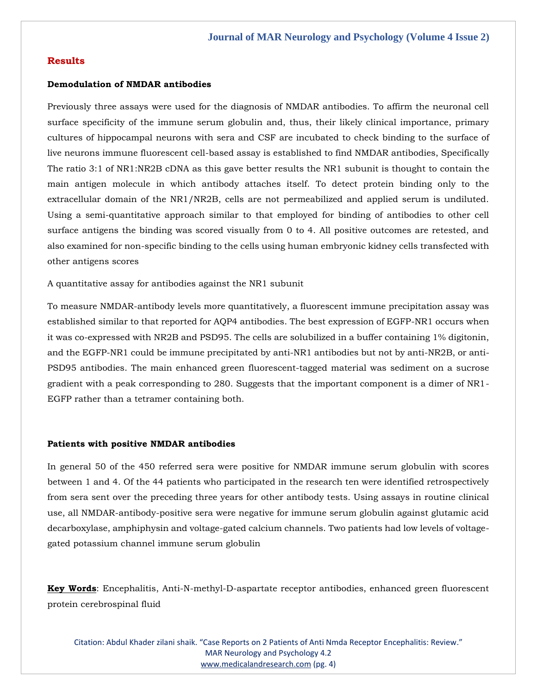# **Results**

# **Demodulation of NMDAR antibodies**

Previously three assays were used for the diagnosis of NMDAR antibodies. To affirm the neuronal cell surface specificity of the immune serum globulin and, thus, their likely clinical importance, primary cultures of hippocampal neurons with sera and CSF are incubated to check binding to the surface of live neurons immune fluorescent cell-based assay is established to find NMDAR antibodies, Specifically The ratio 3:1 of NR1:NR2B cDNA as this gave better results the NR1 subunit is thought to contain the main antigen molecule in which antibody attaches itself. To detect protein binding only to the extracellular domain of the NR1/NR2B, cells are not permeabilized and applied serum is undiluted. Using a semi-quantitative approach similar to that employed for binding of antibodies to other cell surface antigens the binding was scored visually from 0 to 4. All positive outcomes are retested, and also examined for non-specific binding to the cells using human embryonic kidney cells transfected with other antigens scores

A quantitative assay for antibodies against the NR1 subunit

To measure NMDAR-antibody levels more quantitatively, a fluorescent immune precipitation assay was established similar to that reported for AQP4 antibodies. The best expression of EGFP-NR1 occurs when it was co-expressed with NR2B and PSD95. The cells are solubilized in a buffer containing 1% digitonin, and the EGFP-NR1 could be immune precipitated by anti-NR1 antibodies but not by anti-NR2B, or anti-PSD95 antibodies. The main enhanced green fluorescent-tagged material was sediment on a sucrose gradient with a peak corresponding to 280. Suggests that the important component is a dimer of NR1- EGFP rather than a tetramer containing both.

#### **Patients with positive NMDAR antibodies**

In general 50 of the 450 referred sera were positive for NMDAR immune serum globulin with scores between 1 and 4. Of the 44 patients who participated in the research ten were identified retrospectively from sera sent over the preceding three years for other antibody tests. Using assays in routine clinical use, all NMDAR-antibody-positive sera were negative for immune serum globulin against glutamic acid decarboxylase, amphiphysin and voltage-gated calcium channels. Two patients had low levels of voltagegated potassium channel immune serum globulin

**Key Words**: Encephalitis, Anti-N-methyl-D-aspartate receptor antibodies, enhanced green fluorescent protein cerebrospinal fluid

Citation: Abdul Khader zilani shaik. "Case Reports on 2 Patients of Anti Nmda Receptor Encephalitis: Review." MAR Neurology and Psychology 4.2 [www.medicalandresearch.com](http://www.medicalandresearch.com/) (pg. 4)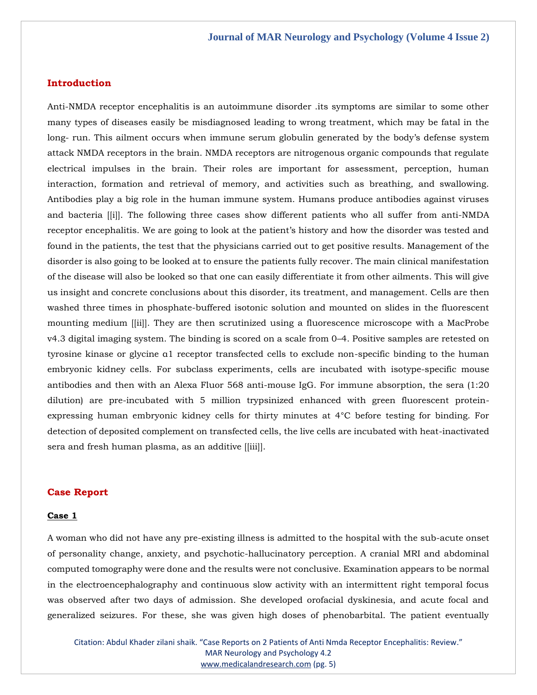## **Introduction**

Anti-NMDA receptor encephalitis is an autoimmune disorder .its symptoms are similar to some other many types of diseases easily be misdiagnosed leading to wrong treatment, which may be fatal in the long- run. This ailment occurs when immune serum globulin generated by the body's defense system attack NMDA receptors in the brain. NMDA receptors are nitrogenous organic compounds that regulate electrical impulses in the brain. Their roles are important for assessment, perception, human interaction, formation and retrieval of memory, and activities such as breathing, and swallowing. Antibodies play a big role in the human immune system. Humans produce antibodies against viruses and bacteria [[i]]. The following three cases show different patients who all suffer from anti-NMDA receptor encephalitis. We are going to look at the patient's history and how the disorder was tested and found in the patients, the test that the physicians carried out to get positive results. Management of the disorder is also going to be looked at to ensure the patients fully recover. The main clinical manifestation of the disease will also be looked so that one can easily differentiate it from other ailments. This will give us insight and concrete conclusions about this disorder, its treatment, and management. Cells are then washed three times in phosphate-buffered isotonic solution and mounted on slides in the fluorescent mounting medium [[ii]]. They are then scrutinized using a fluorescence microscope with a MacProbe v4.3 digital imaging system. The binding is scored on a scale from 0–4. Positive samples are retested on tyrosine kinase or glycine α1 receptor transfected cells to exclude non-specific binding to the human embryonic kidney cells. For subclass experiments, cells are incubated with isotype-specific mouse antibodies and then with an Alexa Fluor 568 anti-mouse IgG. For immune absorption, the sera (1:20 dilution) are pre-incubated with 5 million trypsinized enhanced with green fluorescent proteinexpressing human embryonic kidney cells for thirty minutes at 4°C before testing for binding. For detection of deposited complement on transfected cells, the live cells are incubated with heat-inactivated sera and fresh human plasma, as an additive [[iii]].

# **Case Report**

## **Case 1**

A woman who did not have any pre-existing illness is admitted to the hospital with the sub-acute onset of personality change, anxiety, and psychotic-hallucinatory perception. A cranial MRI and abdominal computed tomography were done and the results were not conclusive. Examination appears to be normal in the electroencephalography and continuous slow activity with an intermittent right temporal focus was observed after two days of admission. She developed orofacial dyskinesia, and acute focal and generalized seizures. For these, she was given high doses of phenobarbital. The patient eventually

Citation: Abdul Khader zilani shaik. "Case Reports on 2 Patients of Anti Nmda Receptor Encephalitis: Review." MAR Neurology and Psychology 4.2 [www.medicalandresearch.com](http://www.medicalandresearch.com/) (pg. 5)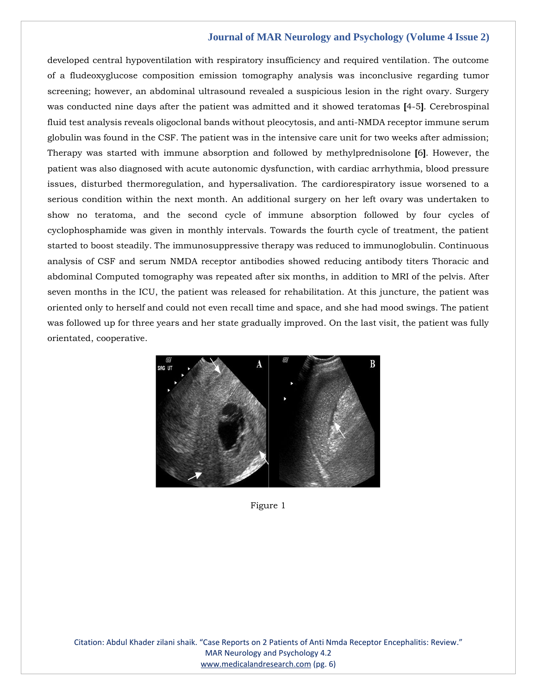developed central hypoventilation with respiratory insufficiency and required ventilation. The outcome of a fludeoxyglucose composition emission tomography analysis was inconclusive regarding tumor screening; however, an abdominal ultrasound revealed a suspicious lesion in the right ovary. Surgery was conducted nine days after the patient was admitted and it showed teratomas **[**4-5**]**. Cerebrospinal fluid test analysis reveals oligoclonal bands without pleocytosis, and anti-NMDA receptor immune serum globulin was found in the CSF. The patient was in the intensive care unit for two weeks after admission; Therapy was started with immune absorption and followed by methylprednisolone **[**6**]**. However, the patient was also diagnosed with acute autonomic dysfunction, with cardiac arrhythmia, blood pressure issues, disturbed thermoregulation, and hypersalivation. The cardiorespiratory issue worsened to a serious condition within the next month. An additional surgery on her left ovary was undertaken to show no teratoma, and the second cycle of immune absorption followed by four cycles of cyclophosphamide was given in monthly intervals. Towards the fourth cycle of treatment, the patient started to boost steadily. The immunosuppressive therapy was reduced to immunoglobulin. Continuous analysis of CSF and serum NMDA receptor antibodies showed reducing antibody titers Thoracic and abdominal Computed tomography was repeated after six months, in addition to MRI of the pelvis. After seven months in the ICU, the patient was released for rehabilitation. At this juncture, the patient was oriented only to herself and could not even recall time and space, and she had mood swings. The patient was followed up for three years and her state gradually improved. On the last visit, the patient was fully orientated, cooperative.



Figure 1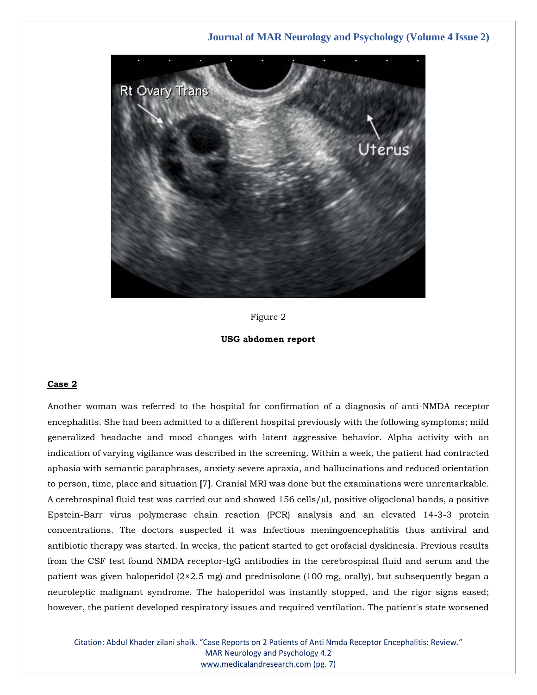

Figure 2



#### **Case 2**

Another woman was referred to the hospital for confirmation of a diagnosis of anti-NMDA receptor encephalitis. She had been admitted to a different hospital previously with the following symptoms; mild generalized headache and mood changes with latent aggressive behavior. Alpha activity with an indication of varying vigilance was described in the screening. Within a week, the patient had contracted aphasia with semantic paraphrases, anxiety severe apraxia, and hallucinations and reduced orientation to person, time, place and situation **[**7**]**. Cranial MRI was done but the examinations were unremarkable. A cerebrospinal fluid test was carried out and showed  $156$  cells/ $\mu$ l, positive oligoclonal bands, a positive Epstein-Barr virus polymerase chain reaction (PCR) analysis and an elevated 14-3-3 protein concentrations. The doctors suspected it was Infectious meningoencephalitis thus antiviral and antibiotic therapy was started. In weeks, the patient started to get orofacial dyskinesia. Previous results from the CSF test found NMDA receptor-IgG antibodies in the cerebrospinal fluid and serum and the patient was given haloperidol (2×2.5 mg) and prednisolone (100 mg, orally), but subsequently began a neuroleptic malignant syndrome. The haloperidol was instantly stopped, and the rigor signs eased; however, the patient developed respiratory issues and required ventilation. The patient's state worsened

Citation: Abdul Khader zilani shaik. "Case Reports on 2 Patients of Anti Nmda Receptor Encephalitis: Review." MAR Neurology and Psychology 4.2 [www.medicalandresearch.com](http://www.medicalandresearch.com/) (pg. 7)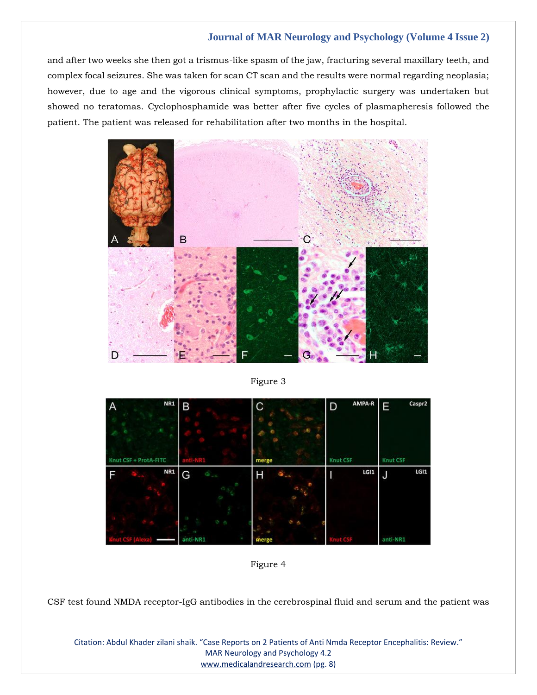and after two weeks she then got a trismus-like spasm of the jaw, fracturing several maxillary teeth, and complex focal seizures. She was taken for scan CT scan and the results were normal regarding neoplasia; however, due to age and the vigorous clinical symptoms, prophylactic surgery was undertaken but showed no teratomas. Cyclophosphamide was better after five cycles of plasmapheresis followed the patient. The patient was released for rehabilitation after two months in the hospital.



Figure 3



Figure 4

CSF test found NMDA receptor-IgG antibodies in the cerebrospinal fluid and serum and the patient was

Citation: Abdul Khader zilani shaik. "Case Reports on 2 Patients of Anti Nmda Receptor Encephalitis: Review." MAR Neurology and Psychology 4.2 [www.medicalandresearch.com](http://www.medicalandresearch.com/) (pg. 8)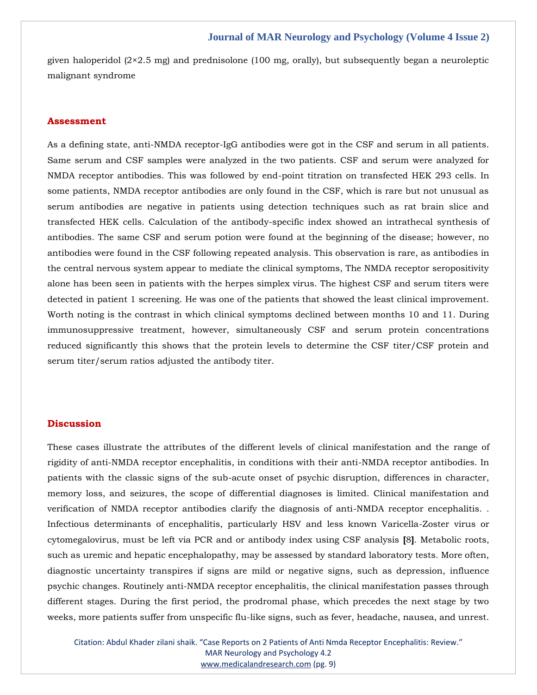given haloperidol (2×2.5 mg) and prednisolone (100 mg, orally), but subsequently began a neuroleptic malignant syndrome

## **Assessment**

As a defining state, anti-NMDA receptor-IgG antibodies were got in the CSF and serum in all patients. Same serum and CSF samples were analyzed in the two patients. CSF and serum were analyzed for NMDA receptor antibodies. This was followed by end-point titration on transfected HEK 293 cells. In some patients, NMDA receptor antibodies are only found in the CSF, which is rare but not unusual as serum antibodies are negative in patients using detection techniques such as rat brain slice and transfected HEK cells. Calculation of the antibody-specific index showed an intrathecal synthesis of antibodies. The same CSF and serum potion were found at the beginning of the disease; however, no antibodies were found in the CSF following repeated analysis. This observation is rare, as antibodies in the central nervous system appear to mediate the clinical symptoms, The NMDA receptor seropositivity alone has been seen in patients with the herpes simplex virus. The highest CSF and serum titers were detected in patient 1 screening. He was one of the patients that showed the least clinical improvement. Worth noting is the contrast in which clinical symptoms declined between months 10 and 11. During immunosuppressive treatment, however, simultaneously CSF and serum protein concentrations reduced significantly this shows that the protein levels to determine the CSF titer/CSF protein and serum titer/serum ratios adjusted the antibody titer.

#### **Discussion**

These cases illustrate the attributes of the different levels of clinical manifestation and the range of rigidity of anti-NMDA receptor encephalitis, in conditions with their anti-NMDA receptor antibodies. In patients with the classic signs of the sub-acute onset of psychic disruption, differences in character, memory loss, and seizures, the scope of differential diagnoses is limited. Clinical manifestation and verification of NMDA receptor antibodies clarify the diagnosis of anti-NMDA receptor encephalitis. . Infectious determinants of encephalitis, particularly HSV and less known Varicella-Zoster virus or cytomegalovirus, must be left via PCR and or antibody index using CSF analysis **[**8**]**. Metabolic roots, such as uremic and hepatic encephalopathy, may be assessed by standard laboratory tests. More often, diagnostic uncertainty transpires if signs are mild or negative signs, such as depression, influence psychic changes. Routinely anti-NMDA receptor encephalitis, the clinical manifestation passes through different stages. During the first period, the prodromal phase, which precedes the next stage by two weeks, more patients suffer from unspecific flu-like signs, such as fever, headache, nausea, and unrest.

Citation: Abdul Khader zilani shaik. "Case Reports on 2 Patients of Anti Nmda Receptor Encephalitis: Review." MAR Neurology and Psychology 4.2 [www.medicalandresearch.com](http://www.medicalandresearch.com/) (pg. 9)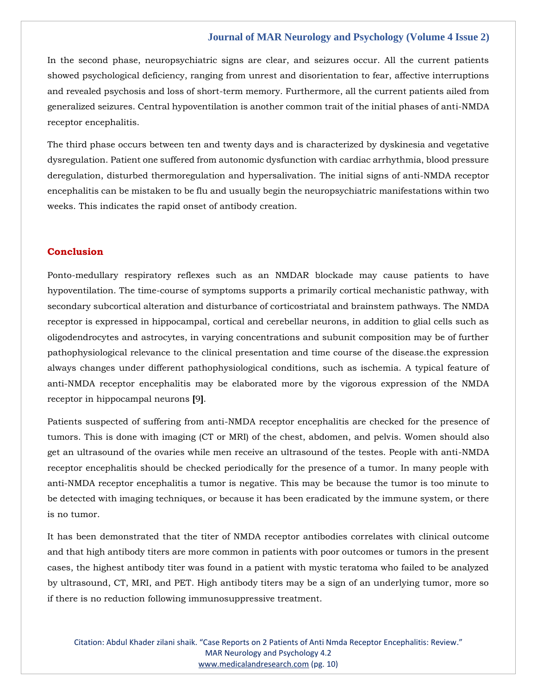In the second phase, neuropsychiatric signs are clear, and seizures occur. All the current patients showed psychological deficiency, ranging from unrest and disorientation to fear, affective interruptions and revealed psychosis and loss of short-term memory. Furthermore, all the current patients ailed from generalized seizures. Central hypoventilation is another common trait of the initial phases of anti-NMDA receptor encephalitis.

The third phase occurs between ten and twenty days and is characterized by dyskinesia and vegetative dysregulation. Patient one suffered from autonomic dysfunction with cardiac arrhythmia, blood pressure deregulation, disturbed thermoregulation and hypersalivation. The initial signs of anti-NMDA receptor encephalitis can be mistaken to be flu and usually begin the neuropsychiatric manifestations within two weeks. This indicates the rapid onset of antibody creation.

# **Conclusion**

Ponto-medullary respiratory reflexes such as an NMDAR blockade may cause patients to have hypoventilation. The time-course of symptoms supports a primarily cortical mechanistic pathway, with secondary subcortical alteration and disturbance of corticostriatal and brainstem pathways. The NMDA receptor is expressed in hippocampal, cortical and cerebellar neurons, in addition to glial cells such as oligodendrocytes and astrocytes, in varying concentrations and subunit composition may be of further pathophysiological relevance to the clinical presentation and time course of the disease.the expression always changes under different pathophysiological conditions, such as ischemia. A typical feature of anti-NMDA receptor encephalitis may be elaborated more by the vigorous expression of the NMDA receptor in hippocampal neurons **[**9**]**.

Patients suspected of suffering from anti-NMDA receptor encephalitis are checked for the presence of tumors. This is done with imaging (CT or MRI) of the chest, abdomen, and pelvis. Women should also get an ultrasound of the ovaries while men receive an ultrasound of the testes. People with anti-NMDA receptor encephalitis should be checked periodically for the presence of a tumor. In many people with anti-NMDA receptor encephalitis a tumor is negative. This may be because the tumor is too minute to be detected with imaging techniques, or because it has been eradicated by the immune system, or there is no tumor.

It has been demonstrated that the titer of NMDA receptor antibodies correlates with clinical outcome and that high antibody titers are more common in patients with poor outcomes or tumors in the present cases, the highest antibody titer was found in a patient with mystic teratoma who failed to be analyzed by ultrasound, CT, MRI, and PET. High antibody titers may be a sign of an underlying tumor, more so if there is no reduction following immunosuppressive treatment.

Citation: Abdul Khader zilani shaik. "Case Reports on 2 Patients of Anti Nmda Receptor Encephalitis: Review." MAR Neurology and Psychology 4.2 [www.medicalandresearch.com](http://www.medicalandresearch.com/) (pg. 10)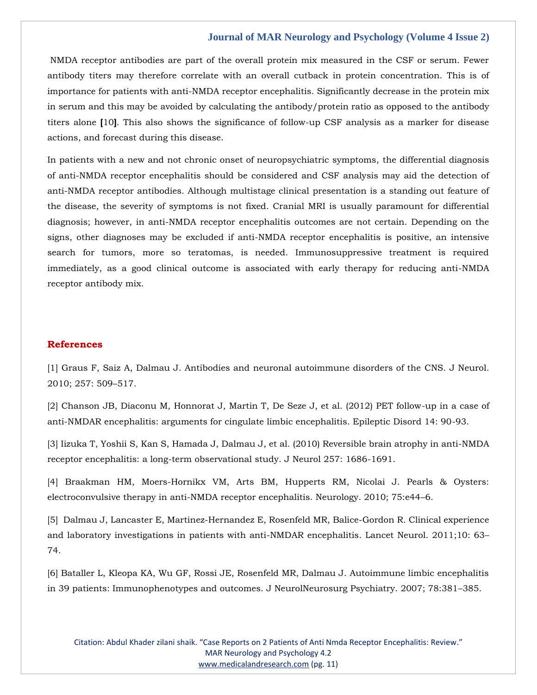NMDA receptor antibodies are part of the overall protein mix measured in the CSF or serum. Fewer antibody titers may therefore correlate with an overall cutback in protein concentration. This is of importance for patients with anti-NMDA receptor encephalitis. Significantly decrease in the protein mix in serum and this may be avoided by calculating the antibody/protein ratio as opposed to the antibody titers alone **[**10**]**. This also shows the significance of follow-up CSF analysis as a marker for disease actions, and forecast during this disease.

In patients with a new and not chronic onset of neuropsychiatric symptoms, the differential diagnosis of anti-NMDA receptor encephalitis should be considered and CSF analysis may aid the detection of anti-NMDA receptor antibodies. Although multistage clinical presentation is a standing out feature of the disease, the severity of symptoms is not fixed. Cranial MRI is usually paramount for differential diagnosis; however, in anti-NMDA receptor encephalitis outcomes are not certain. Depending on the signs, other diagnoses may be excluded if anti-NMDA receptor encephalitis is positive, an intensive search for tumors, more so teratomas, is needed. Immunosuppressive treatment is required immediately, as a good clinical outcome is associated with early therapy for reducing anti-NMDA receptor antibody mix.

## **References**

[1] [Graus F, Saiz A, Dalmau J. Antibodies and neuronal autoimmune disorders of the CNS. J Neurol.](https://www.google.com/search?q=Antibodies+and+neuronal+autoimmune+disorders+of+the+CNS&sxsrf=APq-WBv7DB59Yk7Iu4DeGED-uOpR7CADYg%3A1643794666737&ei=6lD6YYCgLPaaseMP1-Og4AU&ved=0ahUKEwiAvcap3OD1AhV2TWwGHdcxCFwQ4dUDCA4&uact=5&oq=Antibodies+and+neuronal+autoimmune+disorders+of+the+CNS&gs_lcp=Cgdnd3Mtd2l6EAMyBggAEBYQHjoHCCMQ6gIQJ0oECEEYAEoECEYYAFCrCFirCGCLDWgBcAJ4AIAB0gGIAdIBkgEDMi0xmAEAoAEBoAECsAEKwAEB&sclient=gws-wiz)  [2010; 257: 509](https://www.google.com/search?q=Antibodies+and+neuronal+autoimmune+disorders+of+the+CNS&sxsrf=APq-WBv7DB59Yk7Iu4DeGED-uOpR7CADYg%3A1643794666737&ei=6lD6YYCgLPaaseMP1-Og4AU&ved=0ahUKEwiAvcap3OD1AhV2TWwGHdcxCFwQ4dUDCA4&uact=5&oq=Antibodies+and+neuronal+autoimmune+disorders+of+the+CNS&gs_lcp=Cgdnd3Mtd2l6EAMyBggAEBYQHjoHCCMQ6gIQJ0oECEEYAEoECEYYAFCrCFirCGCLDWgBcAJ4AIAB0gGIAdIBkgEDMi0xmAEAoAEBoAECsAEKwAEB&sclient=gws-wiz)–517.

[2] [Chanson JB, Diaconu M, Honnorat J, Martin T, De Seze J, et al. \(2012\) PET follow-up in a case of](https://www.google.com/search?q=PET+follow-up+in+a+case+of+anti-NMDAR+encephalitis%3A+arguments+for+cingulate+limbic+encephalitis&sxsrf=APq-WBv349qYX_pTqTl9ItOZ2cA1xPSp_A%3A1643796803620&ei=Q1n6YbqtJeqsmAXfw6rACw&ved=0ahUKEwj62r-k5OD1AhVqFqYKHd-hCrgQ4dUDCA4&uact=5&oq=PET+follow-up+in+a+case+of+anti-NMDAR+encephalitis%3A+arguments+for+cingulate+limbic+encephalitis&gs_lcp=Cgdnd3Mtd2l6EAM6BwgjEOoCECdKBAhBGABKBAhGGABQ2wVY2wVg6gdoAXACeACAAdYBiAHWAZIBAzItMZgBAKABAaABArABCsABAQ&sclient=gws-wiz)  [anti-NMDAR encephalitis: arguments for cingulate limbic encephalitis. Epileptic Disord 14: 90-93.](https://www.google.com/search?q=PET+follow-up+in+a+case+of+anti-NMDAR+encephalitis%3A+arguments+for+cingulate+limbic+encephalitis&sxsrf=APq-WBv349qYX_pTqTl9ItOZ2cA1xPSp_A%3A1643796803620&ei=Q1n6YbqtJeqsmAXfw6rACw&ved=0ahUKEwj62r-k5OD1AhVqFqYKHd-hCrgQ4dUDCA4&uact=5&oq=PET+follow-up+in+a+case+of+anti-NMDAR+encephalitis%3A+arguments+for+cingulate+limbic+encephalitis&gs_lcp=Cgdnd3Mtd2l6EAM6BwgjEOoCECdKBAhBGABKBAhGGABQ2wVY2wVg6gdoAXACeACAAdYBiAHWAZIBAzItMZgBAKABAaABArABCsABAQ&sclient=gws-wiz)

[3] [Iizuka T, Yoshii S, Kan S, Hamada J, Dalmau J, et al. \(2010\) Reversible brain atrophy in anti-NMDA](https://www.google.com/search?q=Reversible+brain+atrophy+in+anti-NMDA+receptor+encephalitis%3A+a+long-term+observational+study&sxsrf=APq-WBteri58ZAuVfXVSwrNLh5DKtx8Jaw%3A1643796830352&ei=Xln6YdT1FKrWmAXN97KwAw&ved=0ahUKEwjUnJ-x5OD1AhUqK6YKHc27DDYQ4dUDCA4&uact=5&oq=Reversible+brain+atrophy+in+anti-NMDA+receptor+encephalitis%3A+a+long-term+observational+study&gs_lcp=Cgdnd3Mtd2l6EAM6BwgjEOoCECdKBAhBGABKBAhGGABQ6AVY6AVg3AdoAXAAeACAAbkBiAG5AZIBAzAuMZgBAKABAaABArABCsABAQ&sclient=gws-wiz)  [receptor encephalitis: a long-term observational study. J Neurol 257: 1686-1691.](https://www.google.com/search?q=Reversible+brain+atrophy+in+anti-NMDA+receptor+encephalitis%3A+a+long-term+observational+study&sxsrf=APq-WBteri58ZAuVfXVSwrNLh5DKtx8Jaw%3A1643796830352&ei=Xln6YdT1FKrWmAXN97KwAw&ved=0ahUKEwjUnJ-x5OD1AhUqK6YKHc27DDYQ4dUDCA4&uact=5&oq=Reversible+brain+atrophy+in+anti-NMDA+receptor+encephalitis%3A+a+long-term+observational+study&gs_lcp=Cgdnd3Mtd2l6EAM6BwgjEOoCECdKBAhBGABKBAhGGABQ6AVY6AVg3AdoAXAAeACAAbkBiAG5AZIBAzAuMZgBAKABAaABArABCsABAQ&sclient=gws-wiz)

[4] [Braakman HM, Moers-Hornikx VM, Arts BM, Hupperts RM, Nicolai J. Pearls & Oysters:](https://www.google.com/search?q=Pearls+%26+Oysters%3A+electroconvulsive+therapy+in+anti-NMDA+receptor+encephalitis.&sxsrf=APq-WBvDsuXMRUe15vKkRJqPRq8Uh0KqRA%3A1643796850217&ei=cln6Yd3cDJHc0gSX5qOQCQ&ved=0ahUKEwjd3du65OD1AhURrpQKHRfzCJIQ4dUDCA4&uact=5&oq=Pearls+%26+Oysters%3A+electroconvulsive+therapy+in+anti-NMDA+receptor+encephalitis.&gs_lcp=Cgdnd3Mtd2l6EAMyBwgjEOoCECcyBwgjEOoCECcyBwgjEOoCECcyBwgjEOoCECcyBwgjEOoCECcyBwgjEOoCECcyBwgjEOoCECcyBwgjEOoCECcyBwgjEOoCECcyBwgjEOoCECdKBAhBGABKBAhGGABQtgVYtgVgxwdoAXAAeACAAQCIAQCSAQCYAQCgAQGgAQKwAQrAAQE&sclient=gws-wiz)  [electroconvulsive therapy in anti-NMDA receptor encephalitis. Neurology. 2010; 75:e44](https://www.google.com/search?q=Pearls+%26+Oysters%3A+electroconvulsive+therapy+in+anti-NMDA+receptor+encephalitis.&sxsrf=APq-WBvDsuXMRUe15vKkRJqPRq8Uh0KqRA%3A1643796850217&ei=cln6Yd3cDJHc0gSX5qOQCQ&ved=0ahUKEwjd3du65OD1AhURrpQKHRfzCJIQ4dUDCA4&uact=5&oq=Pearls+%26+Oysters%3A+electroconvulsive+therapy+in+anti-NMDA+receptor+encephalitis.&gs_lcp=Cgdnd3Mtd2l6EAMyBwgjEOoCECcyBwgjEOoCECcyBwgjEOoCECcyBwgjEOoCECcyBwgjEOoCECcyBwgjEOoCECcyBwgjEOoCECcyBwgjEOoCECcyBwgjEOoCECcyBwgjEOoCECdKBAhBGABKBAhGGABQtgVYtgVgxwdoAXAAeACAAQCIAQCSAQCYAQCgAQGgAQKwAQrAAQE&sclient=gws-wiz)–6.

[5] [Dalmau J, Lancaster E, Martinez-Hernandez E, Rosenfeld MR, Balice-Gordon R. Clinical experience](https://www.google.com/search?q=Clinical+experience+and+laboratory+investigations+in+patients+with+anti-NMDAR+encephalitis&sxsrf=APq-WBt6z0OjJVDqkkXymgWC2xtKNVQN0A%3A1643796871296&ei=h1n6Ya3LEYeTr7wPhdCwsAI&ved=0ahUKEwjtquLE5OD1AhWHyYsBHQUoDCYQ4dUDCA4&uact=5&oq=Clinical+experience+and+laboratory+investigations+in+patients+with+anti-NMDAR+encephalitis&gs_lcp=Cgdnd3Mtd2l6EAMyBwgjEOoCECcyBwgjEOoCECcyBwgjEOoCECcyBwgjEOoCECcyBwgjEOoCECcyBwgjEOoCECcyBwgjEOoCECcyBwgjEOoCECcyBwgjEOoCECcyBwgjEOoCECdKBAhBGABKBAhGGABQ4AVY4AVg-AdoAXACeACAAQCIAQCSAQCYAQCgAQGgAQKwAQrAAQE&sclient=gws-wiz)  [and laboratory investigations in patients with anti-NMDAR encephalitis. Lancet Neurol. 2011;10: 63](https://www.google.com/search?q=Clinical+experience+and+laboratory+investigations+in+patients+with+anti-NMDAR+encephalitis&sxsrf=APq-WBt6z0OjJVDqkkXymgWC2xtKNVQN0A%3A1643796871296&ei=h1n6Ya3LEYeTr7wPhdCwsAI&ved=0ahUKEwjtquLE5OD1AhWHyYsBHQUoDCYQ4dUDCA4&uact=5&oq=Clinical+experience+and+laboratory+investigations+in+patients+with+anti-NMDAR+encephalitis&gs_lcp=Cgdnd3Mtd2l6EAMyBwgjEOoCECcyBwgjEOoCECcyBwgjEOoCECcyBwgjEOoCECcyBwgjEOoCECcyBwgjEOoCECcyBwgjEOoCECcyBwgjEOoCECcyBwgjEOoCECcyBwgjEOoCECdKBAhBGABKBAhGGABQ4AVY4AVg-AdoAXACeACAAQCIAQCSAQCYAQCgAQGgAQKwAQrAAQE&sclient=gws-wiz)– [74.](https://www.google.com/search?q=Clinical+experience+and+laboratory+investigations+in+patients+with+anti-NMDAR+encephalitis&sxsrf=APq-WBt6z0OjJVDqkkXymgWC2xtKNVQN0A%3A1643796871296&ei=h1n6Ya3LEYeTr7wPhdCwsAI&ved=0ahUKEwjtquLE5OD1AhWHyYsBHQUoDCYQ4dUDCA4&uact=5&oq=Clinical+experience+and+laboratory+investigations+in+patients+with+anti-NMDAR+encephalitis&gs_lcp=Cgdnd3Mtd2l6EAMyBwgjEOoCECcyBwgjEOoCECcyBwgjEOoCECcyBwgjEOoCECcyBwgjEOoCECcyBwgjEOoCECcyBwgjEOoCECcyBwgjEOoCECcyBwgjEOoCECcyBwgjEOoCECdKBAhBGABKBAhGGABQ4AVY4AVg-AdoAXACeACAAQCIAQCSAQCYAQCgAQGgAQKwAQrAAQE&sclient=gws-wiz)

[6] [Bataller L, Kleopa KA, Wu GF, Rossi JE, Rosenfeld MR, Dalmau J. Autoimmune limbic encephalitis](https://www.google.com/search?q=Autoimmune+limbic+encephalitis+in+39+patients%3A+Immunophenotypes+and+outcomes&sxsrf=APq-WBvilSac4gIUMkl2tNc9ttkxAjPVEg%3A1643796903246&ei=p1n6Ye2-DqWMr7wP6curyAc&ved=0ahUKEwitroDU5OD1AhUlxosBHenlCnkQ4dUDCA4&uact=5&oq=Autoimmune+limbic+encephalitis+in+39+patients%3A+Immunophenotypes+and+outcomes&gs_lcp=Cgdnd3Mtd2l6EAM6BwgjEOoCECdKBAhBGABKBAhGGABQxQVYxQVghwhoAXACeACAAeIBiAHiAZIBAzItMZgBAKABAaABArABCsABAQ&sclient=gws-wiz)  [in 39 patients: Immunophenotypes and outcomes. J NeurolNeurosurg Psychiatry. 2007; 78:381](https://www.google.com/search?q=Autoimmune+limbic+encephalitis+in+39+patients%3A+Immunophenotypes+and+outcomes&sxsrf=APq-WBvilSac4gIUMkl2tNc9ttkxAjPVEg%3A1643796903246&ei=p1n6Ye2-DqWMr7wP6curyAc&ved=0ahUKEwitroDU5OD1AhUlxosBHenlCnkQ4dUDCA4&uact=5&oq=Autoimmune+limbic+encephalitis+in+39+patients%3A+Immunophenotypes+and+outcomes&gs_lcp=Cgdnd3Mtd2l6EAM6BwgjEOoCECdKBAhBGABKBAhGGABQxQVYxQVghwhoAXACeACAAeIBiAHiAZIBAzItMZgBAKABAaABArABCsABAQ&sclient=gws-wiz)–385.

Citation: Abdul Khader zilani shaik. "Case Reports on 2 Patients of Anti Nmda Receptor Encephalitis: Review." MAR Neurology and Psychology 4.2 [www.medicalandresearch.com](http://www.medicalandresearch.com/) (pg. 11)